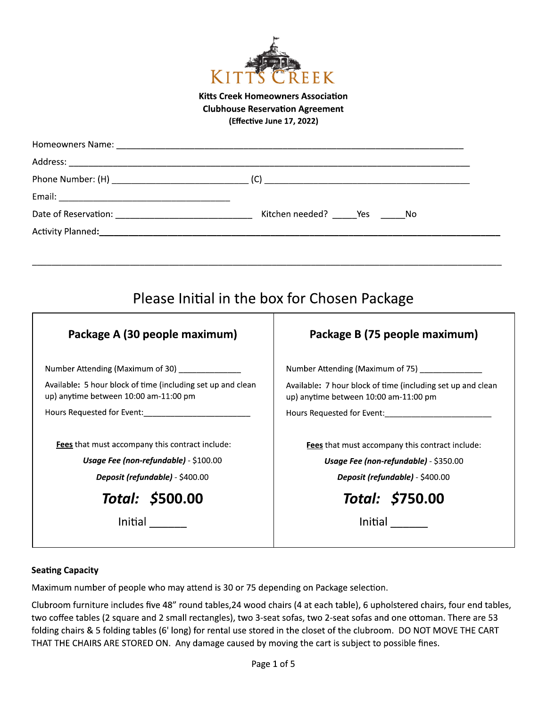

## **Kitts Creek Homeowners Association Clubhouse Reservation Agreement** (Effective June 17, 2022)

|                                                                                                      | Please Initial in the box for Chosen Package                                                         |
|------------------------------------------------------------------------------------------------------|------------------------------------------------------------------------------------------------------|
| Package A (30 people maximum)                                                                        | Package B (75 people maximum)                                                                        |
| Number Attending (Maximum of 30)                                                                     | Number Attending (Maximum of 75) ____________                                                        |
| Available: 5 hour block of time (including set up and clean<br>up) anytime between 10:00 am-11:00 pm | Available: 7 hour block of time (including set up and clean<br>up) anytime between 10:00 am-11:00 pm |
|                                                                                                      |                                                                                                      |
| Fees that must accompany this contract include:                                                      | Fees that must accompany this contract include:                                                      |
| Usage Fee (non-refundable) - \$100.00                                                                | Usage Fee (non-refundable) - \$350.00                                                                |
| Deposit (refundable) - \$400.00                                                                      | Deposit (refundable) - \$400.00                                                                      |
| Total: \$500.00                                                                                      | Total: \$750.00                                                                                      |
|                                                                                                      | <b>Initial</b>                                                                                       |
|                                                                                                      |                                                                                                      |

### **Seating Capacity**

Maximum number of people who may attend is 30 or 75 depending on Package selection.

Clubroom furniture includes five 48" round tables, 24 wood chairs (4 at each table), 6 upholstered chairs, four end tables, two coffee tables (2 square and 2 small rectangles), two 3-seat sofas, two 2-seat sofas and one ottoman. There are 53 folding chairs & 5 folding tables (6' long) for rental use stored in the closet of the clubroom. DO NOT MOVE THE CART THAT THE CHAIRS ARE STORED ON. Any damage caused by moving the cart is subject to possible fines.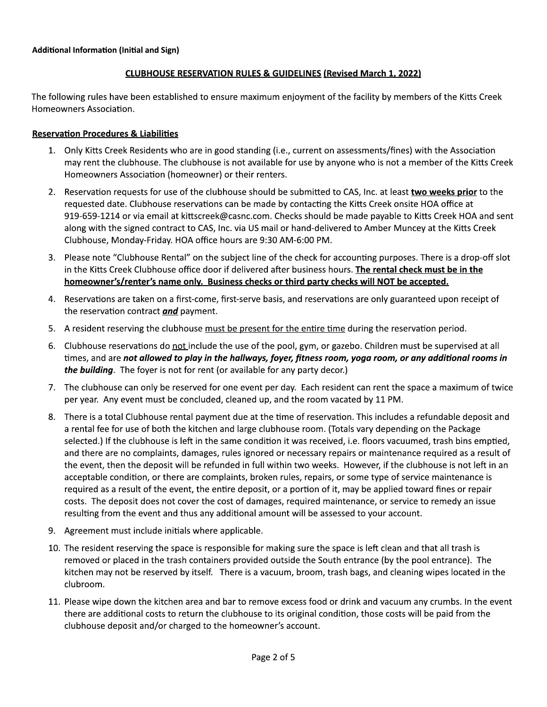## **CLUBHOUSE RESERVATION RULES & GUIDELINES (Revised March 1, 2022)**

The following rules have been established to ensure maximum enjoyment of the facility by members of the Kitts Creek Homeowners Association.

### **Reservation Procedures & Liabilities**

- 1. Only Kitts Creek Residents who are in good standing (i.e., current on assessments/fines) with the Association may rent the clubhouse. The clubhouse is not available for use by anyone who is not a member of the Kitts Creek Homeowners Association (homeowner) or their renters.
- 2. Reservation requests for use of the clubhouse should be submitted to CAS, Inc. at least two weeks prior to the requested date. Clubhouse reservations can be made by contacting the Kitts Creek onsite HOA office at 919-659-1214 or via email at kittscreek@casnc.com. Checks should be made payable to Kitts Creek HOA and sent along with the signed contract to CAS, Inc. via US mail or hand-delivered to Amber Muncey at the Kitts Creek Clubhouse, Monday-Friday. HOA office hours are 9:30 AM-6:00 PM.
- 3. Please note "Clubhouse Rental" on the subject line of the check for accounting purposes. There is a drop-off slot in the Kitts Creek Clubhouse office door if delivered after business hours. The rental check must be in the homeowner's/renter's name only. Business checks or third party checks will NOT be accepted.
- 4. Reservations are taken on a first-come, first-serve basis, and reservations are only guaranteed upon receipt of the reservation contract and payment.
- 5. A resident reserving the clubhouse must be present for the entire time during the reservation period.
- 6. Clubhouse reservations do not include the use of the pool, gym, or gazebo. Children must be supervised at all times, and are not allowed to play in the hallways, foyer, fitness room, yoga room, or any additional rooms in the building. The foyer is not for rent (or available for any party decor.)
- 7. The clubhouse can only be reserved for one event per day. Each resident can rent the space a maximum of twice per year. Any event must be concluded, cleaned up, and the room vacated by 11 PM.
- 8. There is a total Clubhouse rental payment due at the time of reservation. This includes a refundable deposit and a rental fee for use of both the kitchen and large clubhouse room. (Totals vary depending on the Package selected.) If the clubhouse is left in the same condition it was received, i.e. floors vacuumed, trash bins emptied, and there are no complaints, damages, rules ignored or necessary repairs or maintenance required as a result of the event, then the deposit will be refunded in full within two weeks. However, if the clubhouse is not left in an acceptable condition, or there are complaints, broken rules, repairs, or some type of service maintenance is required as a result of the event, the entire deposit, or a portion of it, may be applied toward fines or repair costs. The deposit does not cover the cost of damages, required maintenance, or service to remedy an issue resulting from the event and thus any additional amount will be assessed to your account.
- 9. Agreement must include initials where applicable.
- 10. The resident reserving the space is responsible for making sure the space is left clean and that all trash is removed or placed in the trash containers provided outside the South entrance (by the pool entrance). The kitchen may not be reserved by itself. There is a vacuum, broom, trash bags, and cleaning wipes located in the clubroom.
- 11. Please wipe down the kitchen area and bar to remove excess food or drink and vacuum any crumbs. In the event there are additional costs to return the clubhouse to its original condition, those costs will be paid from the clubhouse deposit and/or charged to the homeowner's account.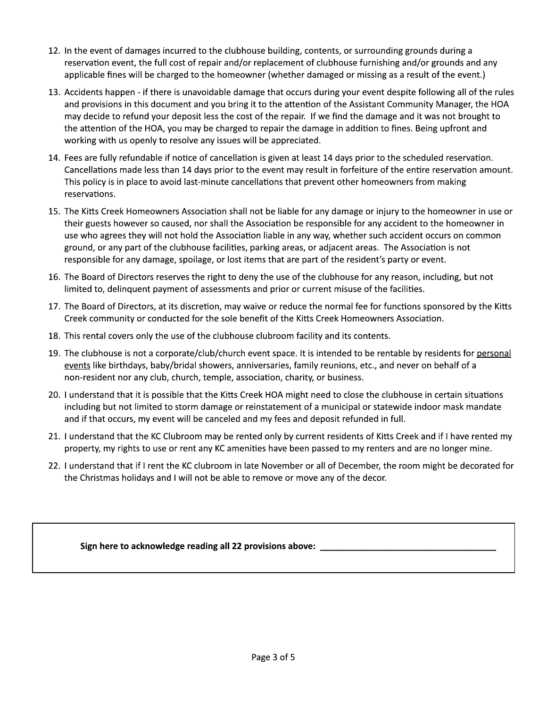- 12. In the event of damages incurred to the clubhouse building, contents, or surrounding grounds during a reservation event, the full cost of repair and/or replacement of clubhouse furnishing and/or grounds and any applicable fines will be charged to the homeowner (whether damaged or missing as a result of the event.)
- 13. Accidents happen if there is unavoidable damage that occurs during your event despite following all of the rules and provisions in this document and you bring it to the attention of the Assistant Community Manager, the HOA may decide to refund your deposit less the cost of the repair. If we find the damage and it was not brought to the attention of the HOA, you may be charged to repair the damage in addition to fines. Being upfront and working with us openly to resolve any issues will be appreciated.
- 14. Fees are fully refundable if notice of cancellation is given at least 14 days prior to the scheduled reservation. Cancellations made less than 14 days prior to the event may result in forfeiture of the entire reservation amount. This policy is in place to avoid last-minute cancellations that prevent other homeowners from making reservations.
- 15. The Kitts Creek Homeowners Association shall not be liable for any damage or injury to the homeowner in use or their guests however so caused, nor shall the Association be responsible for any accident to the homeowner in use who agrees they will not hold the Association liable in any way, whether such accident occurs on common ground, or any part of the clubhouse facilities, parking areas, or adjacent areas. The Association is not responsible for any damage, spoilage, or lost items that are part of the resident's party or event.
- 16. The Board of Directors reserves the right to deny the use of the clubhouse for any reason, including, but not limited to, delinquent payment of assessments and prior or current misuse of the facilities.
- 17. The Board of Directors, at its discretion, may waive or reduce the normal fee for functions sponsored by the Kitts Creek community or conducted for the sole benefit of the Kitts Creek Homeowners Association.
- 18. This rental covers only the use of the clubhouse clubroom facility and its contents.
- 19. The clubhouse is not a corporate/club/church event space. It is intended to be rentable by residents for personal events like birthdays, baby/bridal showers, anniversaries, family reunions, etc., and never on behalf of a non-resident nor any club, church, temple, association, charity, or business.
- 20. I understand that it is possible that the Kitts Creek HOA might need to close the clubhouse in certain situations including but not limited to storm damage or reinstatement of a municipal or statewide indoor mask mandate and if that occurs, my event will be canceled and my fees and deposit refunded in full.
- 21. I understand that the KC Clubroom may be rented only by current residents of Kitts Creek and if I have rented my property, my rights to use or rent any KC amenities have been passed to my renters and are no longer mine.
- 22. I understand that if I rent the KC clubroom in late November or all of December, the room might be decorated for the Christmas holidays and I will not be able to remove or move any of the decor.

Sign here to acknowledge reading all 22 provisions above: \_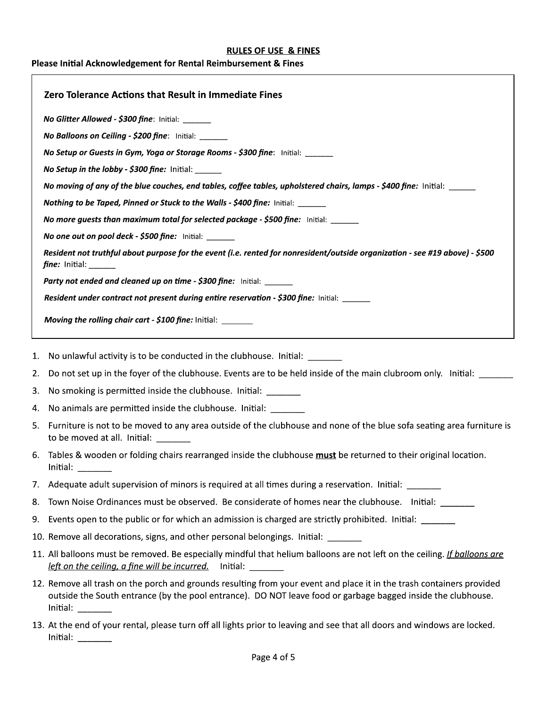#### **RULES OF USE & FINES**

# Please Initial Acknowledgement for Rental Reimbursement & Fines

| <b>Zero Tolerance Actions that Result in Immediate Fines</b> |                                                                                                                                                                                                                                                                                                                                                                                                                                                                                                                                       |
|--------------------------------------------------------------|---------------------------------------------------------------------------------------------------------------------------------------------------------------------------------------------------------------------------------------------------------------------------------------------------------------------------------------------------------------------------------------------------------------------------------------------------------------------------------------------------------------------------------------|
|                                                              | No Glitter Allowed - \$300 fine: Initial: ______                                                                                                                                                                                                                                                                                                                                                                                                                                                                                      |
|                                                              | No Balloons on Ceiling - \$200 fine: Initial: ______                                                                                                                                                                                                                                                                                                                                                                                                                                                                                  |
|                                                              | No Setup or Guests in Gym, Yoga or Storage Rooms - \$300 fine: Initial: ______                                                                                                                                                                                                                                                                                                                                                                                                                                                        |
|                                                              | No Setup in the lobby - \$300 fine: Initial: ______                                                                                                                                                                                                                                                                                                                                                                                                                                                                                   |
|                                                              | No moving of any of the blue couches, end tables, coffee tables, upholstered chairs, lamps - \$400 fine: lnitial: _____                                                                                                                                                                                                                                                                                                                                                                                                               |
|                                                              | Nothing to be Taped, Pinned or Stuck to the Walls - \$400 fine: Initial: ______                                                                                                                                                                                                                                                                                                                                                                                                                                                       |
|                                                              | No more guests than maximum total for selected package - \$500 fine: Initial: _____                                                                                                                                                                                                                                                                                                                                                                                                                                                   |
|                                                              | No one out on pool deck - \$500 fine: Initial: ______                                                                                                                                                                                                                                                                                                                                                                                                                                                                                 |
|                                                              | Resident not truthful about purpose for the event (i.e. rented for nonresident/outside organization - see #19 above) - \$500                                                                                                                                                                                                                                                                                                                                                                                                          |
|                                                              | Party not ended and cleaned up on time - \$300 fine: Initial: ______                                                                                                                                                                                                                                                                                                                                                                                                                                                                  |
|                                                              | Resident under contract not present during entire reservation - \$300 fine: Initial:                                                                                                                                                                                                                                                                                                                                                                                                                                                  |
|                                                              | <b>Moving the rolling chair cart - \$100 fine:</b> Initial: _______                                                                                                                                                                                                                                                                                                                                                                                                                                                                   |
|                                                              | 1. No unlawful activity is to be conducted in the clubhouse. Initial: ______                                                                                                                                                                                                                                                                                                                                                                                                                                                          |
| 2.                                                           | Do not set up in the foyer of the clubhouse. Events are to be held inside of the main clubroom only. Initial: ______                                                                                                                                                                                                                                                                                                                                                                                                                  |
| 3.                                                           | No smoking is permitted inside the clubhouse. Initial: ______                                                                                                                                                                                                                                                                                                                                                                                                                                                                         |
| 4.                                                           | No animals are permitted inside the clubhouse. Initial: _______                                                                                                                                                                                                                                                                                                                                                                                                                                                                       |
|                                                              | 5. Furniture is not to be moved to any area outside of the clubhouse and none of the blue sofa seating area furniture is<br>to be moved at all. Initial: $\frac{1}{\sqrt{1-\frac{1}{\sqrt{1-\frac{1}{\sqrt{1-\frac{1}{\sqrt{1-\frac{1}{\sqrt{1-\frac{1}{\sqrt{1-\frac{1}{\sqrt{1-\frac{1}{\sqrt{1-\frac{1}{\sqrt{1-\frac{1}{\sqrt{1-\frac{1}{\sqrt{1-\frac{1}{\sqrt{1-\frac{1}{\sqrt{1-\frac{1}{\sqrt{1-\frac{1}{\sqrt{1-\frac{1}{\sqrt{1-\frac{1}{\sqrt{1-\frac{1}{\sqrt{1-\frac{1}{\sqrt{1-\frac{1}{\sqrt{1-\frac{1}{\sqrt{1-\frac$ |
| 6.                                                           | Tables & wooden or folding chairs rearranged inside the clubhouse <b>must</b> be returned to their original location.<br>Initial: $\frac{1}{1}$                                                                                                                                                                                                                                                                                                                                                                                       |
|                                                              | 7. Adequate adult supervision of minors is required at all times during a reservation. Initial:                                                                                                                                                                                                                                                                                                                                                                                                                                       |
| 8.                                                           | Town Noise Ordinances must be observed. Be considerate of homes near the clubhouse. Initial:                                                                                                                                                                                                                                                                                                                                                                                                                                          |
|                                                              | 9. Events open to the public or for which an admission is charged are strictly prohibited. Initial:                                                                                                                                                                                                                                                                                                                                                                                                                                   |
|                                                              | 10. Remove all decorations, signs, and other personal belongings. Initial: ______                                                                                                                                                                                                                                                                                                                                                                                                                                                     |
|                                                              | 11. All balloons must be removed. Be especially mindful that helium balloons are not left on the ceiling. If balloons are<br>left on the ceiling, a fine will be incurred. Initial:                                                                                                                                                                                                                                                                                                                                                   |
|                                                              | 12. Remove all trash on the porch and grounds resulting from your event and place it in the trash containers provided<br>outside the South entrance (by the pool entrance). DO NOT leave food or garbage bagged inside the clubhouse.<br>Initial:                                                                                                                                                                                                                                                                                     |
|                                                              | 12. At the end of your rental, places turn off all lights prior to leaving and see that all dears and windows are legiod                                                                                                                                                                                                                                                                                                                                                                                                              |

13. At the end of your rental, please turn off all lights prior to leaving and see that all doors and windows are locked. Initial:  $\frac{1}{\sqrt{1-\frac{1}{2}}\cdot\frac{1}{2}}$